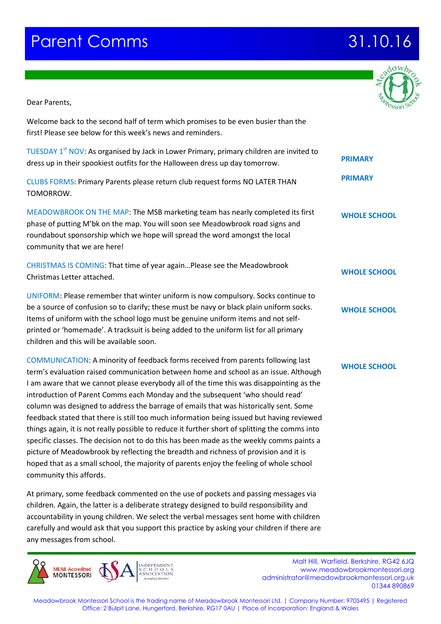## **ff Parent Comms 21.10.16**

Meadowbrook Montessori School is the trading name of Meadowbrook Montessori Ltd. | Company Number: 9705495 | Registered Office: 2 Bulpit Lane, Hungerford, Berkshire, RG17 0AU | Place of Incorporation: England & Wales

Dear Parents,

Welcome back to the second half of term which promises to be even busier than the first! Please see below for this week's news and reminders.

TUESDAY 1<sup>st</sup> NOV: As organised by Jack in Lower Primary, primary children are invited to dress up in their spookiest outfits for the Halloween dress up day tomorrow.

CLUBS FORMS: Primary Parents please return club request forms NO LATER THAN TOMORROW.

MEADOWBROOK ON THE MAP: The MSB marketing team has nearly completed its first phase of putting M'bk on the map. You will soon see Meadowbrook road signs and roundabout sponsorship which we hope will spread the word amongst the local community that we are here!

CHRISTMAS IS COMING: That time of year again…Please see the Meadowbrook Christmas Letter attached.

UNIFORM: Please remember that winter uniform is now compulsory. Socks continue to be a source of confusion so to clarify; these must be navy or black plain uniform socks. Items of uniform with the school logo must be genuine uniform items and not selfprinted or 'homemade'. A tracksuit is being added to the uniform list for all primary children and this will be available soon.

COMMUNICATION: A minority of feedback forms received from parents following last term's evaluation raised communication between home and school as an issue. Although I am aware that we cannot please everybody all of the time this was disappointing as the introduction of Parent Comms each Monday and the subsequent 'who should read' column was designed to address the barrage of emails that was historically sent. Some feedback stated that there is still too much information being issued but having reviewed things again, it is not really possible to reduce it further short of splitting the comms into specific classes. The decision not to do this has been made as the weekly comms paints a picture of Meadowbrook by reflecting the breadth and richness of provision and it is hoped that as a small school, the majority of parents enjoy the feeling of whole school community this affords.

At primary, some feedback commented on the use of pockets and passing messages via children. Again, the latter is a deliberate strategy designed to build responsibility and accountability in young children. We select the verbal messages sent home with children carefully and would ask that you support this practice by asking your children if there are any messages from school.



**Malt Hill, Warfield, Berkshire, RG42 6JQ** www.meadowbrookmontessori.org [administrator@meadowbrookmontessori.org.uk](mailto:administrator@meadowbrookmontessori.org.uk) 01344 890869



**PRIMARY**

**PRIMARY**

**WHOLE SCHOOL**

**WHOLE SCHOOL**

**WHOLE SCHOOL**

**WHOLE SCHOOL**